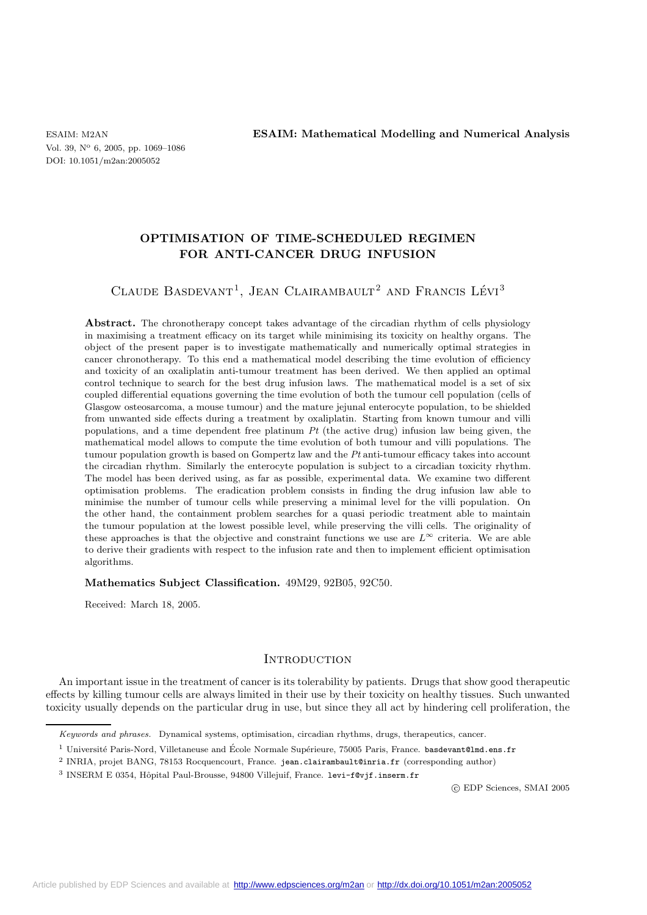Vol. 39, N<sup>o</sup> 6, 2005, pp. 1069–1086 DOI: 10.1051/m2an:2005052

# **OPTIMISATION OF TIME-SCHEDULED REGIMEN FOR ANTI-CANCER DRUG INFUSION**

# CLAUDE BASDEVANT<sup>1</sup>, JEAN CLAIRAMBAULT<sup>2</sup> AND FRANCIS LÉVI<sup>3</sup>

Abstract. The chronotherapy concept takes advantage of the circadian rhythm of cells physiology in maximising a treatment efficacy on its target while minimising its toxicity on healthy organs. The object of the present paper is to investigate mathematically and numerically optimal strategies in cancer chronotherapy. To this end a mathematical model describing the time evolution of efficiency and toxicity of an oxaliplatin anti-tumour treatment has been derived. We then applied an optimal control technique to search for the best drug infusion laws. The mathematical model is a set of six coupled differential equations governing the time evolution of both the tumour cell population (cells of Glasgow osteosarcoma, a mouse tumour) and the mature jejunal enterocyte population, to be shielded from unwanted side effects during a treatment by oxaliplatin. Starting from known tumour and villi populations, and a time dependent free platinum *Pt* (the active drug) infusion law being given, the mathematical model allows to compute the time evolution of both tumour and villi populations. The tumour population growth is based on Gompertz law and the *Pt* anti-tumour efficacy takes into account the circadian rhythm. Similarly the enterocyte population is subject to a circadian toxicity rhythm. The model has been derived using, as far as possible, experimental data. We examine two different optimisation problems. The eradication problem consists in finding the drug infusion law able to minimise the number of tumour cells while preserving a minimal level for the villi population. On the other hand, the containment problem searches for a quasi periodic treatment able to maintain the tumour population at the lowest possible level, while preserving the villi cells. The originality of these approaches is that the objective and constraint functions we use are *L*<sup>∞</sup> criteria. We are able to derive their gradients with respect to the infusion rate and then to implement efficient optimisation algorithms.

**Mathematics Subject Classification.** 49M29, 92B05, 92C50.

Received: March 18, 2005.

# **INTRODUCTION**

An important issue in the treatment of cancer is its tolerability by patients. Drugs that show good therapeutic effects by killing tumour cells are always limited in their use by their toxicity on healthy tissues. Such unwanted toxicity usually depends on the particular drug in use, but since they all act by hindering cell proliferation, the

c EDP Sciences, SMAI 2005

*Keywords and phrases.* Dynamical systems, optimisation, circadian rhythms, drugs, therapeutics, cancer.

<sup>&</sup>lt;sup>1</sup> Université Paris-Nord, Villetaneuse and École Normale Supérieure, 75005 Paris, France. basdevant@lmd.ens.fr

 $2$  INRIA, projet BANG, 78153 Rocquencourt, France. jean.clairambault@inria.fr (corresponding author)

 $3$  INSERM E 0354, Hôpital Paul-Brousse, 94800 Villejuif, France. levi-f@vjf.inserm.fr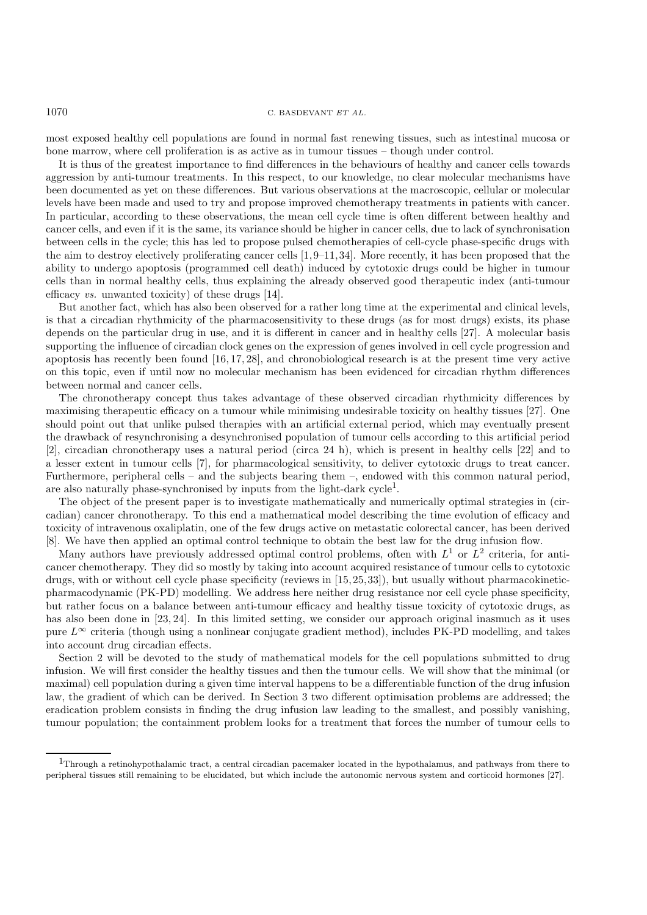most exposed healthy cell populations are found in normal fast renewing tissues, such as intestinal mucosa or bone marrow, where cell proliferation is as active as in tumour tissues – though under control.

It is thus of the greatest importance to find differences in the behaviours of healthy and cancer cells towards aggression by anti-tumour treatments. In this respect, to our knowledge, no clear molecular mechanisms have been documented as yet on these differences. But various observations at the macroscopic, cellular or molecular levels have been made and used to try and propose improved chemotherapy treatments in patients with cancer. In particular, according to these observations, the mean cell cycle time is often different between healthy and cancer cells, and even if it is the same, its variance should be higher in cancer cells, due to lack of synchronisation between cells in the cycle; this has led to propose pulsed chemotherapies of cell-cycle phase-specific drugs with the aim to destroy electively proliferating cancer cells [1, 9–11, 34]. More recently, it has been proposed that the ability to undergo apoptosis (programmed cell death) induced by cytotoxic drugs could be higher in tumour cells than in normal healthy cells, thus explaining the already observed good therapeutic index (anti-tumour efficacy *vs.* unwanted toxicity) of these drugs [14].

But another fact, which has also been observed for a rather long time at the experimental and clinical levels, is that a circadian rhythmicity of the pharmacosensitivity to these drugs (as for most drugs) exists, its phase depends on the particular drug in use, and it is different in cancer and in healthy cells [27]. A molecular basis supporting the influence of circadian clock genes on the expression of genes involved in cell cycle progression and apoptosis has recently been found [16, 17, 28], and chronobiological research is at the present time very active on this topic, even if until now no molecular mechanism has been evidenced for circadian rhythm differences between normal and cancer cells.

The chronotherapy concept thus takes advantage of these observed circadian rhythmicity differences by maximising therapeutic efficacy on a tumour while minimising undesirable toxicity on healthy tissues [27]. One should point out that unlike pulsed therapies with an artificial external period, which may eventually present the drawback of resynchronising a desynchronised population of tumour cells according to this artificial period [2], circadian chronotherapy uses a natural period (circa 24 h), which is present in healthy cells [22] and to a lesser extent in tumour cells [7], for pharmacological sensitivity, to deliver cytotoxic drugs to treat cancer. Furthermore, peripheral cells – and the subjects bearing them –, endowed with this common natural period, are also naturally phase-synchronised by inputs from the light-dark cycle<sup>1</sup>.

The object of the present paper is to investigate mathematically and numerically optimal strategies in (circadian) cancer chronotherapy. To this end a mathematical model describing the time evolution of efficacy and toxicity of intravenous oxaliplatin, one of the few drugs active on metastatic colorectal cancer, has been derived [8]. We have then applied an optimal control technique to obtain the best law for the drug infusion flow.

Many authors have previously addressed optimal control problems, often with  $L^1$  or  $L^2$  criteria, for anticancer chemotherapy. They did so mostly by taking into account acquired resistance of tumour cells to cytotoxic drugs, with or without cell cycle phase specificity (reviews in [15,25,33]), but usually without pharmacokineticpharmacodynamic (PK-PD) modelling. We address here neither drug resistance nor cell cycle phase specificity, but rather focus on a balance between anti-tumour efficacy and healthy tissue toxicity of cytotoxic drugs, as has also been done in [23, 24]. In this limited setting, we consider our approach original inasmuch as it uses pure  $L^{\infty}$  criteria (though using a nonlinear conjugate gradient method), includes PK-PD modelling, and takes into account drug circadian effects.

Section 2 will be devoted to the study of mathematical models for the cell populations submitted to drug infusion. We will first consider the healthy tissues and then the tumour cells. We will show that the minimal (or maximal) cell population during a given time interval happens to be a differentiable function of the drug infusion law, the gradient of which can be derived. In Section 3 two different optimisation problems are addressed; the eradication problem consists in finding the drug infusion law leading to the smallest, and possibly vanishing, tumour population; the containment problem looks for a treatment that forces the number of tumour cells to

 $1$ Through a retinohypothalamic tract, a central circadian pacemaker located in the hypothalamus, and pathways from there to peripheral tissues still remaining to be elucidated, but which include the autonomic nervous system and corticoid hormones [27].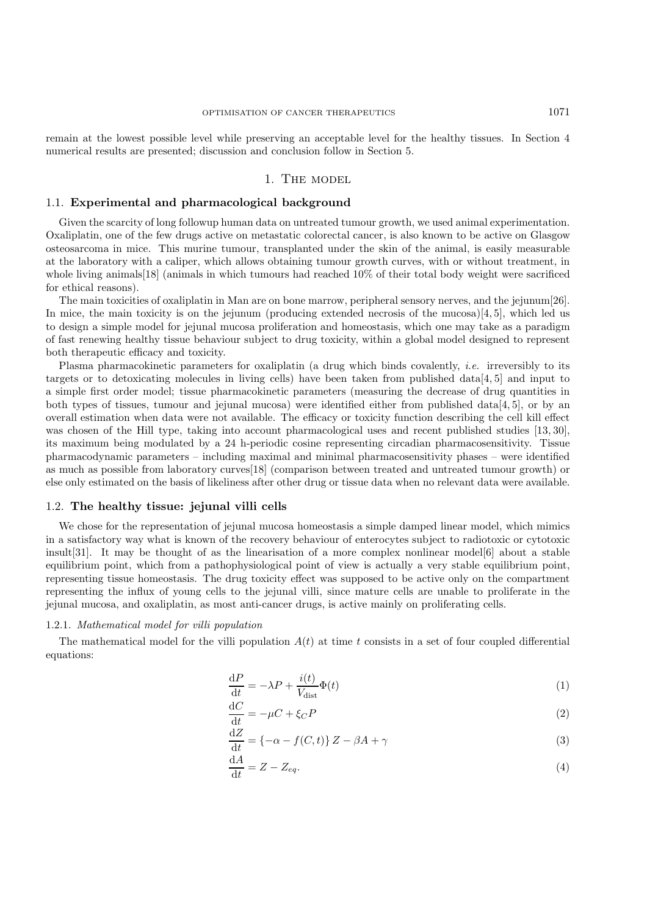remain at the lowest possible level while preserving an acceptable level for the healthy tissues. In Section 4 numerical results are presented; discussion and conclusion follow in Section 5.

# 1. The model

# 1.1. **Experimental and pharmacological background**

Given the scarcity of long followup human data on untreated tumour growth, we used animal experimentation. Oxaliplatin, one of the few drugs active on metastatic colorectal cancer, is also known to be active on Glasgow osteosarcoma in mice. This murine tumour, transplanted under the skin of the animal, is easily measurable at the laboratory with a caliper, which allows obtaining tumour growth curves, with or without treatment, in whole living animals<sup>[18]</sup> (animals in which tumours had reached 10% of their total body weight were sacrificed for ethical reasons).

The main toxicities of oxaliplatin in Man are on bone marrow, peripheral sensory nerves, and the jejunum[26]. In mice, the main toxicity is on the jejunum (producing extended necrosis of the mucosa) $[4, 5]$ , which led us to design a simple model for jejunal mucosa proliferation and homeostasis, which one may take as a paradigm of fast renewing healthy tissue behaviour subject to drug toxicity, within a global model designed to represent both therapeutic efficacy and toxicity.

Plasma pharmacokinetic parameters for oxaliplatin (a drug which binds covalently, *i.e.* irreversibly to its targets or to detoxicating molecules in living cells) have been taken from published data[4, 5] and input to a simple first order model; tissue pharmacokinetic parameters (measuring the decrease of drug quantities in both types of tissues, tumour and jejunal mucosa) were identified either from published data $[4, 5]$ , or by an overall estimation when data were not available. The efficacy or toxicity function describing the cell kill effect was chosen of the Hill type, taking into account pharmacological uses and recent published studies [13, 30], its maximum being modulated by a 24 h-periodic cosine representing circadian pharmacosensitivity. Tissue pharmacodynamic parameters – including maximal and minimal pharmacosensitivity phases – were identified as much as possible from laboratory curves[18] (comparison between treated and untreated tumour growth) or else only estimated on the basis of likeliness after other drug or tissue data when no relevant data were available.

# 1.2. **The healthy tissue: jejunal villi cells**

We chose for the representation of jejunal mucosa homeostasis a simple damped linear model, which mimics in a satisfactory way what is known of the recovery behaviour of enterocytes subject to radiotoxic or cytotoxic insult[31]. It may be thought of as the linearisation of a more complex nonlinear model[6] about a stable equilibrium point, which from a pathophysiological point of view is actually a very stable equilibrium point, representing tissue homeostasis. The drug toxicity effect was supposed to be active only on the compartment representing the influx of young cells to the jejunal villi, since mature cells are unable to proliferate in the jejunal mucosa, and oxaliplatin, as most anti-cancer drugs, is active mainly on proliferating cells.

#### 1.2.1. *Mathematical model for villi population*

The mathematical model for the villi population  $A(t)$  at time t consists in a set of four coupled differential equations:

$$
\frac{\mathrm{d}P}{\mathrm{d}t} = -\lambda P + \frac{i(t)}{V_{\mathrm{dist}}}\Phi(t) \tag{1}
$$

$$
\frac{\mathrm{d}C}{\mathrm{d}t} = -\mu C + \xi_C P \tag{2}
$$

$$
\frac{\mathrm{d}Z}{\mathrm{d}t} = \{-\alpha - f(C, t)\} Z - \beta A + \gamma \tag{3}
$$

$$
\frac{\mathrm{d}A}{\mathrm{d}t} = Z - Z_{eq}.\tag{4}
$$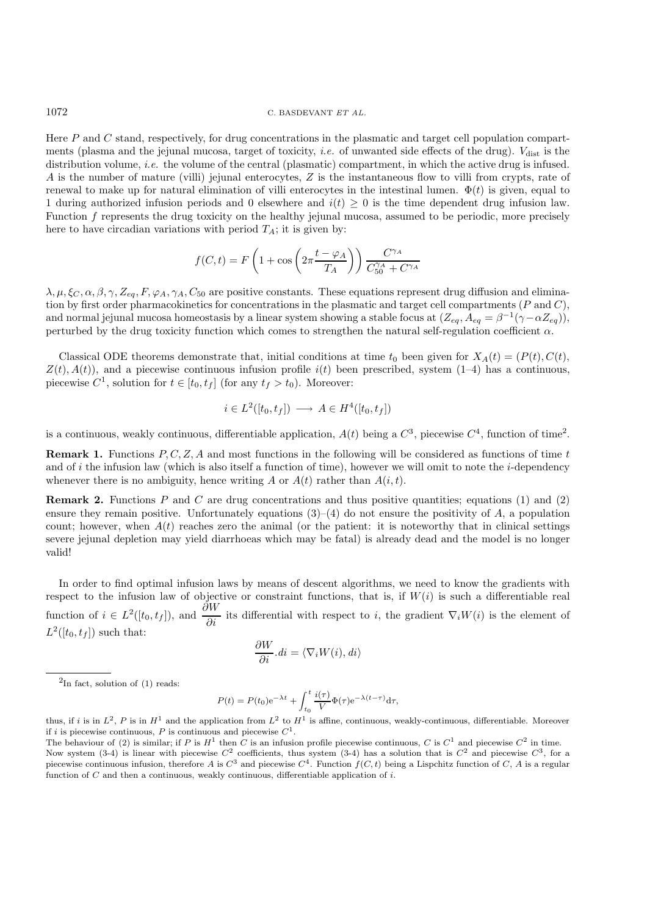Here P and C stand, respectively, for drug concentrations in the plasmatic and target cell population compartments (plasma and the jejunal mucosa, target of toxicity, *i.e.* of unwanted side effects of the drug).  $V_{\text{dist}}$  is the distribution volume, *i.e.* the volume of the central (plasmatic) compartment, in which the active drug is infused. A is the number of mature (villi) jejunal enterocytes, Z is the instantaneous flow to villi from crypts, rate of renewal to make up for natural elimination of villi enterocytes in the intestinal lumen.  $\Phi(t)$  is given, equal to 1 during authorized infusion periods and 0 elsewhere and  $i(t) \geq 0$  is the time dependent drug infusion law. Function f represents the drug toxicity on the healthy jejunal mucosa, assumed to be periodic, more precisely here to have circadian variations with period  $T_A$ ; it is given by:

$$
f(C,t) = F\left(1 + \cos\left(2\pi \frac{t - \varphi_A}{T_A}\right)\right) \frac{C^{\gamma_A}}{C_{50}^{\gamma_A} + C^{\gamma_A}}
$$

 $\lambda, \mu, \xi_C, \alpha, \beta, \gamma, Z_{eq}, F, \varphi_A, \gamma_A, C_{50}$  are positive constants. These equations represent drug diffusion and elimination by first order pharmacokinetics for concentrations in the plasmatic and target cell compartments  $(P \text{ and } C)$ , and normal jejunal mucosa homeostasis by a linear system showing a stable focus at  $(Z_{eq}, A_{eq} = \beta^{-1}(\gamma - \alpha Z_{eq}))$ , perturbed by the drug toxicity function which comes to strengthen the natural self-regulation coefficient  $\alpha$ .

Classical ODE theorems demonstrate that, initial conditions at time  $t_0$  been given for  $X_A(t)=(P(t), C(t),$  $Z(t), A(t)$ , and a piecewise continuous infusion profile  $i(t)$  been prescribed, system (1–4) has a continuous, piecewise  $C^1$ , solution for  $t \in [t_0, t_f]$  (for any  $t_f > t_0$ ). Moreover:

$$
i \in L^2([t_0, t_f]) \longrightarrow A \in H^4([t_0, t_f])
$$

is a continuous, weakly continuous, differentiable application,  $A(t)$  being a  $C^3$ , piecewise  $C^4$ , function of time<sup>2</sup>.

**Remark 1.** Functions P, C, Z, A and most functions in the following will be considered as functions of time t and of i the infusion law (which is also itself a function of time), however we will omit to note the  $i$ -dependency whenever there is no ambiguity, hence writing A or  $A(t)$  rather than  $A(i, t)$ .

**Remark 2.** Functions P and C are drug concentrations and thus positive quantities; equations (1) and (2) ensure they remain positive. Unfortunately equations  $(3)-(4)$  do not ensure the positivity of A, a population count; however, when  $A(t)$  reaches zero the animal (or the patient: it is noteworthy that in clinical settings severe jejunal depletion may yield diarrhoeas which may be fatal) is already dead and the model is no longer valid!

In order to find optimal infusion laws by means of descent algorithms, we need to know the gradients with respect to the infusion law of objective or constraint functions, that is, if  $W(i)$  is such a differentiable real function of  $i \in L^2([t_0, t_f])$ , and  $\frac{\partial W}{\partial i}$  its differential with respect to i, the gradient  $\nabla_i W(i)$  is the element of  $L^2([t_0, t_f])$  such that:

$$
\frac{\partial W}{\partial i}.di = \langle \nabla_i W(i), di \rangle
$$

$$
P(t) = P(t_0) e^{-\lambda t} + \int_{t_0}^t \frac{i(\tau)}{V} \Phi(\tau) e^{-\lambda (t-\tau)} d\tau,
$$

 $2$ In fact, solution of (1) reads:

thus, if i is in  $L^2$ , P is in  $H^1$  and the application from  $L^2$  to  $H^1$  is affine, continuous, weakly-continuous, differentiable. Moreover if i is piecewise continuous, P is continuous and piecewise  $C^1$ .

The behaviour of (2) is similar; if P is  $H^1$  then C is an infusion profile piecewise continuous, C is  $C^1$  and piecewise  $C^2$  in time. Now system  $(3-4)$  is linear with piecewise  $C^2$  coefficients, thus system  $(3-4)$  has a solution that is  $C^2$  and piecewise  $C^3$ , for a piecewise continuous infusion, therefore A is  $C^3$  and piecewise  $C^4$ . Function  $f(C, t)$  being a Lispchitz function of C, A is a regular function of C and then a continuous, weakly continuous, differentiable application of i.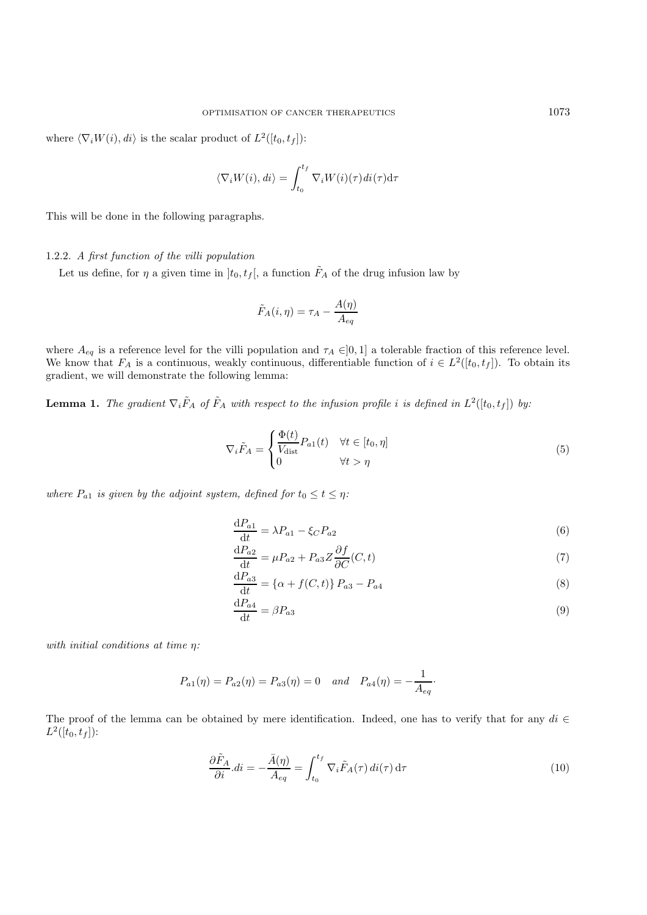where  $\langle \nabla_i W(i), di \rangle$  is the scalar product of  $L^2([t_0, t_f])$ :

$$
\langle \nabla_i W(i), di \rangle = \int_{t_0}^{t_f} \nabla_i W(i)(\tau) di(\tau) d\tau
$$

This will be done in the following paragraphs.

# 1.2.2. *A first function of the villi population*

Let us define, for  $\eta$  a given time in  $]t_0, t_f[$ , a function  $\tilde{F}_A$  of the drug infusion law by

$$
\tilde{F}_A(i,\eta) = \tau_A - \frac{A(\eta)}{A_{eq}}
$$

where  $A_{eq}$  is a reference level for the villi population and  $\tau_A \in ]0,1]$  a tolerable fraction of this reference level. We know that  $F_A$  is a continuous, weakly continuous, differentiable function of  $i \in L^2([t_0, t_f])$ . To obtain its gradient, we will demonstrate the following lemma:

**Lemma 1.** *The gradient*  $\nabla_i \tilde{F}_A$  *of*  $\tilde{F}_A$  *with respect to the infusion profile i is defined in*  $L^2([t_0, t_f])$  *by:* 

$$
\nabla_i \tilde{F}_A = \begin{cases} \frac{\Phi(t)}{V_{\text{dist}}} P_{a1}(t) & \forall t \in [t_0, \eta] \\ 0 & \forall t > \eta \end{cases}
$$
(5)

*where*  $P_{a1}$  *is given by the adjoint system, defined for*  $t_0 \le t \le \eta$ *:* 

$$
\frac{\mathrm{d}P_{a1}}{\mathrm{d}t} = \lambda P_{a1} - \xi_C P_{a2} \tag{6}
$$

$$
\frac{\mathrm{d}P_{a2}}{\mathrm{d}t} = \mu P_{a2} + P_{a3} Z \frac{\partial f}{\partial C}(C, t) \tag{7}
$$

$$
\frac{dP_{a3}}{dt} = \{ \alpha + f(C, t) \} P_{a3} - P_{a4} \tag{8}
$$

$$
\frac{\mathrm{d}P_{a4}}{\mathrm{d}t} = \beta P_{a3} \tag{9}
$$

*with initial conditions at time* η*:*

$$
P_{a1}(\eta) = P_{a2}(\eta) = P_{a3}(\eta) = 0
$$
 and  $P_{a4}(\eta) = -\frac{1}{A_{eq}}$ .

The proof of the lemma can be obtained by mere identification. Indeed, one has to verify that for any  $di \in$  $L^2([t_0, t_f])$ :

$$
\frac{\partial \tilde{F}_A}{\partial i} \cdot di = -\frac{\bar{A}(\eta)}{A_{eq}} = \int_{t_0}^{t_f} \nabla_i \tilde{F}_A(\tau) \, di(\tau) \, d\tau \tag{10}
$$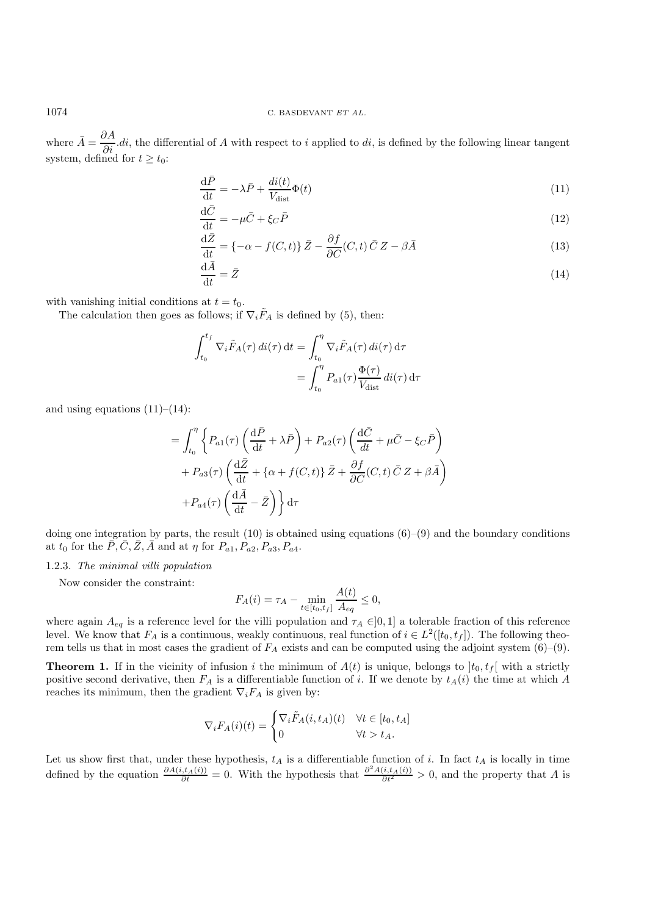where  $\bar{A} = \frac{\partial A}{\partial i}di$ , the differential of A with respect to i applied to di, is defined by the following linear tangent system, defined for  $t \geq t_0$ :

$$
\frac{\mathrm{d}\bar{P}}{\mathrm{d}t} = -\lambda \bar{P} + \frac{di(t)}{V_{\mathrm{dist}}}\Phi(t) \tag{11}
$$

$$
\frac{\mathrm{d}\bar{C}}{\mathrm{d}t} = -\mu \bar{C} + \xi_C \bar{P}
$$
\n(12)

$$
\frac{\mathrm{d}\bar{Z}}{\mathrm{d}t} = \{-\alpha - f(C, t)\}\bar{Z} - \frac{\partial f}{\partial C}(C, t)\bar{C}Z - \beta\bar{A}
$$
\n(13)

$$
\frac{\mathrm{d}\bar{A}}{\mathrm{d}t} = \bar{Z} \tag{14}
$$

with vanishing initial conditions at  $t = t_0$ .

The calculation then goes as follows; if  $\nabla_i \tilde{F}_A$  is defined by (5), then:

$$
\int_{t_0}^{t_f} \nabla_i \tilde{F}_A(\tau) \, di(\tau) \, dt = \int_{t_0}^{\eta} \nabla_i \tilde{F}_A(\tau) \, di(\tau) \, d\tau
$$

$$
= \int_{t_0}^{\eta} P_{a1}(\tau) \frac{\Phi(\tau)}{V_{\text{dist}}} \, di(\tau) \, d\tau
$$

and using equations  $(11)–(14)$ :

$$
= \int_{t_0}^{\eta} \left\{ P_{a1}(\tau) \left( \frac{\mathrm{d}\bar{P}}{\mathrm{d}t} + \lambda \bar{P} \right) + P_{a2}(\tau) \left( \frac{\mathrm{d}\bar{C}}{\mathrm{d}t} + \mu \bar{C} - \xi_C \bar{P} \right) \right. \\
\left. + P_{a3}(\tau) \left( \frac{\mathrm{d}\bar{Z}}{\mathrm{d}t} + \left\{ \alpha + f(C, t) \right\} \bar{Z} + \frac{\partial f}{\partial C} (C, t) \bar{C} \, Z + \beta \bar{A} \right) \right. \\
\left. + P_{a4}(\tau) \left( \frac{\mathrm{d}\bar{A}}{\mathrm{d}t} - \bar{Z} \right) \right\} \mathrm{d}\tau
$$

doing one integration by parts, the result  $(10)$  is obtained using equations  $(6)-(9)$  and the boundary conditions at  $t_0$  for the  $\overline{P}, \overline{C}, \overline{Z}, \overline{A}$  and at  $\eta$  for  $P_{a1}, P_{a2}, P_{a3}, P_{a4}$ .

#### 1.2.3. *The minimal villi population*

Now consider the constraint:

$$
F_A(i) = \tau_A - \min_{t \in [t_0, t_f]} \frac{A(t)}{A_{eq}} \le 0,
$$

where again  $A_{eq}$  is a reference level for the villi population and  $\tau_A \in ]0,1]$  a tolerable fraction of this reference level. We know that  $F_A$  is a continuous, weakly continuous, real function of  $i \in L^2([t_0, t_f])$ . The following theorem tells us that in most cases the gradient of  $F_A$  exists and can be computed using the adjoint system  $(6)-(9)$ .

**Theorem 1.** If in the vicinity of infusion i the minimum of  $A(t)$  is unique, belongs to  $|t_0, t_f|$  with a strictly positive second derivative, then  $F_A$  is a differentiable function of i. If we denote by  $t_A(i)$  the time at which A reaches its minimum, then the gradient  $\nabla_i F_A$  is given by:

$$
\nabla_i F_A(i)(t) = \begin{cases} \nabla_i \tilde{F}_A(i, t_A)(t) & \forall t \in [t_0, t_A] \\ 0 & \forall t > t_A. \end{cases}
$$

Let us show first that, under these hypothesis,  $t_A$  is a differentiable function of i. In fact  $t_A$  is locally in time defined by the equation  $\frac{\partial A(i,t_A(i))}{\partial t} = 0$ . With the hypothesis that  $\frac{\partial^2 A(i,t_A(i))}{\partial t^2} > 0$ , and the property that A is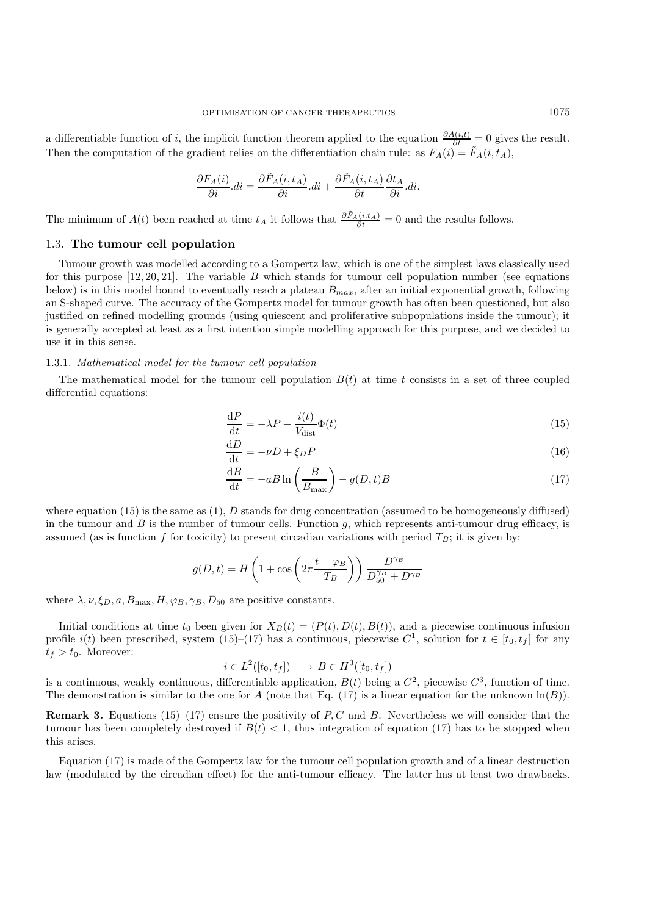a differentiable function of i, the implicit function theorem applied to the equation  $\frac{\partial A(i,t)}{\partial t} = 0$  gives the result. Then the computation of the gradient relies on the differentiation chain rule: as  $F_A(i) = \tilde{F}_A(i, t_A)$ ,

$$
\frac{\partial F_A(i)}{\partial i} \cdot di = \frac{\partial \tilde{F}_A(i, t_A)}{\partial i} \cdot di + \frac{\partial \tilde{F}_A(i, t_A)}{\partial t} \frac{\partial t_A}{\partial i} \cdot di.
$$

The minimum of  $A(t)$  been reached at time  $t_A$  it follows that  $\frac{\partial \tilde{F}_A(i,t_A)}{\partial t} = 0$  and the results follows.

# 1.3. **The tumour cell population**

Tumour growth was modelled according to a Gompertz law, which is one of the simplest laws classically used for this purpose  $[12, 20, 21]$ . The variable B which stands for tumour cell population number (see equations below) is in this model bound to eventually reach a plateau  $B_{max}$ , after an initial exponential growth, following an S-shaped curve. The accuracy of the Gompertz model for tumour growth has often been questioned, but also justified on refined modelling grounds (using quiescent and proliferative subpopulations inside the tumour); it is generally accepted at least as a first intention simple modelling approach for this purpose, and we decided to use it in this sense.

# 1.3.1. *Mathematical model for the tumour cell population*

The mathematical model for the tumour cell population  $B(t)$  at time t consists in a set of three coupled differential equations:

$$
\frac{\mathrm{d}P}{\mathrm{d}t} = -\lambda P + \frac{i(t)}{V_{\mathrm{dist}}}\Phi(t) \tag{15}
$$

$$
\frac{\mathrm{d}D}{\mathrm{d}t} = -\nu D + \xi_D P \tag{16}
$$

$$
\frac{\mathrm{d}B}{\mathrm{d}t} = -aB\ln\left(\frac{B}{B_{\text{max}}}\right) - g(D,t)B\tag{17}
$$

where equation (15) is the same as  $(1)$ , D stands for drug concentration (assumed to be homogeneously diffused) in the tumour and  $B$  is the number of tumour cells. Function  $g$ , which represents anti-tumour drug efficacy, is assumed (as is function f for toxicity) to present circadian variations with period  $T_B$ ; it is given by:

$$
g(D,t) = H\left(1+\cos\left(2\pi\frac{t-\varphi_B}{T_B}\right)\right)\frac{D^{\gamma_B}}{D^{\gamma_B}_{50}+D^{\gamma_B}}
$$

where  $\lambda, \nu, \xi_D, a, B_{\text{max}}, H, \varphi_B, \gamma_B, D_{50}$  are positive constants.

Initial conditions at time  $t_0$  been given for  $X_B(t)=(P(t), D(t), B(t))$ , and a piecewise continuous infusion profile  $i(t)$  been prescribed, system (15)–(17) has a continuous, piecewise  $C^1$ , solution for  $t \in [t_0, t_f]$  for any  $t_f > t_0$ . Moreover:

$$
i \in L^2([t_0, t_f]) \longrightarrow B \in H^3([t_0, t_f])
$$

is a continuous, weakly continuous, differentiable application,  $B(t)$  being a  $C^2$ , piecewise  $C^3$ , function of time. The demonstration is similar to the one for A (note that Eq. (17) is a linear equation for the unknown  $\ln(B)$ ).

**Remark 3.** Equations (15)–(17) ensure the positivity of  $P, C$  and  $B$ . Nevertheless we will consider that the tumour has been completely destroyed if  $B(t) < 1$ , thus integration of equation (17) has to be stopped when this arises.

Equation (17) is made of the Gompertz law for the tumour cell population growth and of a linear destruction law (modulated by the circadian effect) for the anti-tumour efficacy. The latter has at least two drawbacks.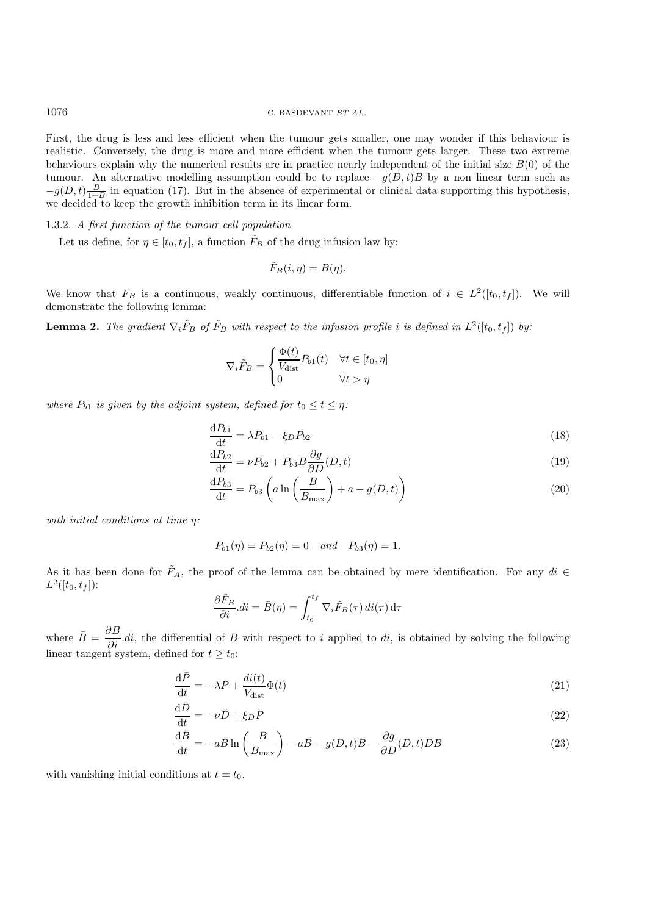First, the drug is less and less efficient when the tumour gets smaller, one may wonder if this behaviour is realistic. Conversely, the drug is more and more efficient when the tumour gets larger. These two extreme behaviours explain why the numerical results are in practice nearly independent of the initial size  $B(0)$  of the tumour. An alternative modelling assumption could be to replace  $-g(D, t)B$  by a non linear term such as  $-g(D, t) \frac{B}{1+B}$  in equation (17). But in the absence of experimental or clinical data supporting this hypothesis, we decided to keep the growth inhibition term in its linear form.

#### 1.3.2. *A first function of the tumour cell population*

Let us define, for  $\eta \in [t_0, t_f]$ , a function  $\tilde{F}_B$  of the drug infusion law by:

$$
\tilde{F}_B(i,\eta) = B(\eta).
$$

We know that  $F_B$  is a continuous, weakly continuous, differentiable function of  $i \in L^2([t_0, t_f])$ . We will demonstrate the following lemma:

**Lemma 2.** *The gradient*  $\nabla_i \tilde{F}_B$  *of*  $\tilde{F}_B$  *with respect to the infusion profile i is defined in*  $L^2([t_0, t_f])$  *by:* 

$$
\nabla_i \tilde{F}_B = \begin{cases} \frac{\Phi(t)}{V_{\text{dist}}} P_{b1}(t) & \forall t \in [t_0, \eta] \\ 0 & \forall t > \eta \end{cases}
$$

*where*  $P_{b1}$  *is given by the adjoint system, defined for*  $t_0 \le t \le \eta$ *:* 

$$
\frac{\mathrm{d}P_{b1}}{\mathrm{d}t} = \lambda P_{b1} - \xi_D P_{b2} \tag{18}
$$

$$
\frac{\mathrm{d}P_{b2}}{\mathrm{d}t} = \nu P_{b2} + P_{b3} B \frac{\partial g}{\partial D}(D, t) \tag{19}
$$

$$
\frac{\mathrm{d}P_{b3}}{\mathrm{d}t} = P_{b3} \left( a \ln \left( \frac{B}{B_{\text{max}}} \right) + a - g(D, t) \right) \tag{20}
$$

*with initial conditions at time* η*:*

$$
P_{b1}(\eta) = P_{b2}(\eta) = 0
$$
 and  $P_{b3}(\eta) = 1$ .

As it has been done for  $\tilde{F}_A$ , the proof of the lemma can be obtained by mere identification. For any  $di \in$  $L^2([t_0, t_f])$ :

$$
\frac{\partial \tilde{F}_B}{\partial i} .di = \bar{B}(\eta) = \int_{t_0}^{t_f} \nabla_i \tilde{F}_B(\tau) \, di(\tau) \, d\tau
$$

where  $\bar{B} = \frac{\partial B}{\partial i}di$ , the differential of B with respect to i applied to di, is obtained by solving the following linear tangent system, defined for  $t \geq t_0$ :

$$
\frac{\mathrm{d}\bar{P}}{\mathrm{d}t} = -\lambda \bar{P} + \frac{di(t)}{V_{\mathrm{dist}}}\Phi(t) \tag{21}
$$

$$
\frac{\mathrm{d}\bar{D}}{\mathrm{d}t} = -\nu \bar{D} + \xi_D \bar{P} \tag{22}
$$

$$
\frac{\mathrm{d}\bar{B}}{\mathrm{d}t} = -a\bar{B}\ln\left(\frac{B}{B_{\text{max}}}\right) - a\bar{B} - g(D,t)\bar{B} - \frac{\partial g}{\partial D}(D,t)\bar{D}B\tag{23}
$$

with vanishing initial conditions at  $t = t_0$ .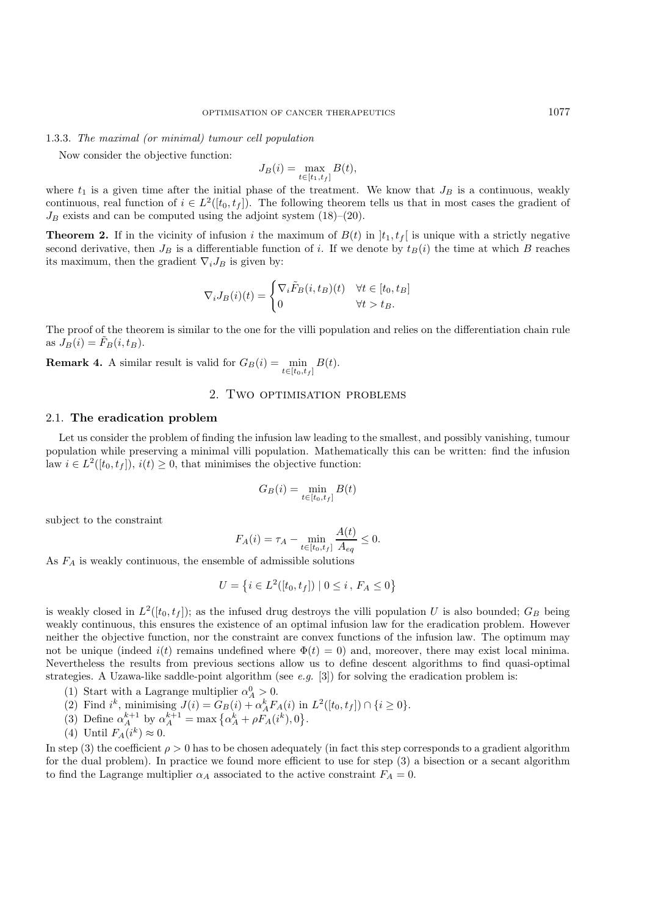#### 1.3.3. *The maximal (or minimal) tumour cell population*

Now consider the objective function:

$$
J_B(i) = \max_{t \in [t_1, t_f]} B(t),
$$

where  $t_1$  is a given time after the initial phase of the treatment. We know that  $J_B$  is a continuous, weakly continuous, real function of  $i \in L^2([t_0, t_f])$ . The following theorem tells us that in most cases the gradient of  $J_B$  exists and can be computed using the adjoint system (18)–(20).

**Theorem 2.** If in the vicinity of infusion i the maximum of  $B(t)$  in  $|t_1, t_f|$  is unique with a strictly negative second derivative, then  $J_B$  is a differentiable function of i. If we denote by  $t_B(i)$  the time at which B reaches its maximum, then the gradient  $\nabla_i J_B$  is given by:

$$
\nabla_i J_B(i)(t) = \begin{cases} \nabla_i \tilde{F}_B(i, t_B)(t) & \forall t \in [t_0, t_B] \\ 0 & \forall t > t_B. \end{cases}
$$

The proof of the theorem is similar to the one for the villi population and relies on the differentiation chain rule as  $J_B(i) = \tilde{F}_B(i, t_B)$ .

**Remark 4.** A similar result is valid for  $G_B(i) = \min_{t \in [t_0, t_f]} B(t)$ .

# 2. Two optimisation problems

#### 2.1. **The eradication problem**

Let us consider the problem of finding the infusion law leading to the smallest, and possibly vanishing, tumour population while preserving a minimal villi population. Mathematically this can be written: find the infusion law  $i \in L^2([t_0, t_f]), i(t) \geq 0$ , that minimises the objective function:

$$
G_B(i) = \min_{t \in [t_0, t_f]} B(t)
$$

subject to the constraint

$$
F_A(i) = \tau_A - \min_{t \in [t_0, t_f]} \frac{A(t)}{A_{eq}} \le 0.
$$

As  $F_A$  is weakly continuous, the ensemble of admissible solutions

$$
U = \left\{ i \in L^2([t_0, t_f]) \mid 0 \le i, F_A \le 0 \right\}
$$

is weakly closed in  $L^2([t_0, t_f])$ ; as the infused drug destroys the villi population U is also bounded;  $G_B$  being weakly continuous, this ensures the existence of an optimal infusion law for the eradication problem. However neither the objective function, nor the constraint are convex functions of the infusion law. The optimum may not be unique (indeed  $i(t)$  remains undefined where  $\Phi(t) = 0$ ) and, moreover, there may exist local minima. Nevertheless the results from previous sections allow us to define descent algorithms to find quasi-optimal strategies. A Uzawa-like saddle-point algorithm (see *e.g.* [3]) for solving the eradication problem is:

- (1) Start with a Lagrange multiplier  $\alpha_A^0 > 0$ .
- (2) Find  $i^k$ , minimising  $J(i) = G_B(i) + \alpha_A^k F_A(i)$  in  $L^2([t_0, t_f]) \cap \{i \ge 0\}.$
- (3) Define  $\alpha_A^{k+1}$  by  $\alpha_A^{k+1} = \max{\{\alpha_A^k + \rho F_A(i^k), 0\}}$ .
- (4) Until  $F_A(i^k) \approx 0$ .

In step (3) the coefficient  $\rho > 0$  has to be chosen adequately (in fact this step corresponds to a gradient algorithm for the dual problem). In practice we found more efficient to use for step (3) a bisection or a secant algorithm to find the Lagrange multiplier  $\alpha_A$  associated to the active constraint  $F_A = 0$ .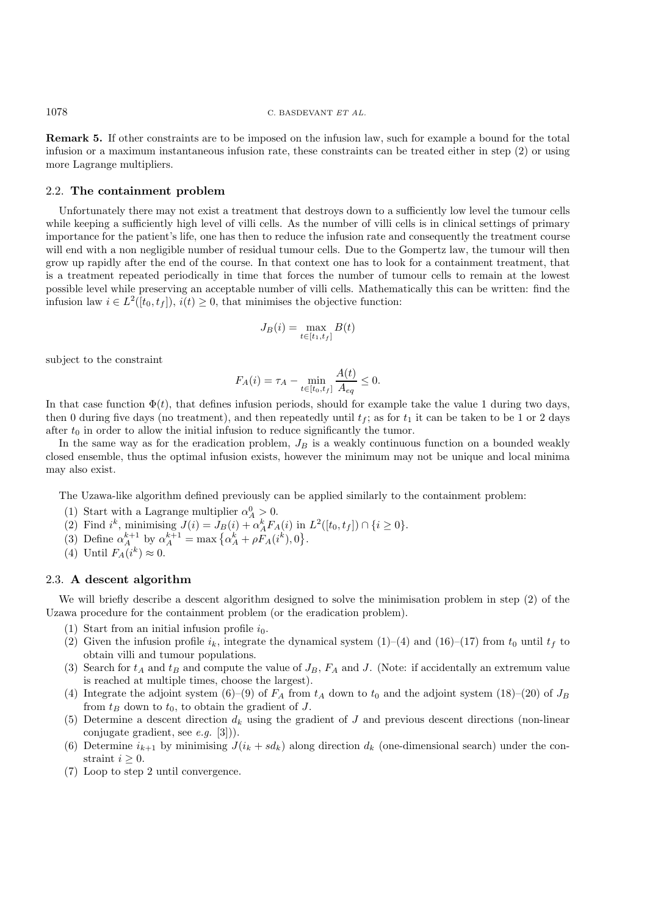**Remark 5.** If other constraints are to be imposed on the infusion law, such for example a bound for the total infusion or a maximum instantaneous infusion rate, these constraints can be treated either in step (2) or using more Lagrange multipliers.

#### 2.2. **The containment problem**

Unfortunately there may not exist a treatment that destroys down to a sufficiently low level the tumour cells while keeping a sufficiently high level of villi cells. As the number of villi cells is in clinical settings of primary importance for the patient's life, one has then to reduce the infusion rate and consequently the treatment course will end with a non negligible number of residual tumour cells. Due to the Gompertz law, the tumour will then grow up rapidly after the end of the course. In that context one has to look for a containment treatment, that is a treatment repeated periodically in time that forces the number of tumour cells to remain at the lowest possible level while preserving an acceptable number of villi cells. Mathematically this can be written: find the infusion law  $i \in L^2([t_0, t_f]), i(t) \geq 0$ , that minimises the objective function:

$$
J_B(i) = \max_{t \in [t_1, t_f]} B(t)
$$

subject to the constraint

$$
F_A(i) = \tau_A - \min_{t \in [t_0, t_f]} \frac{A(t)}{A_{eq}} \le 0.
$$

In that case function  $\Phi(t)$ , that defines infusion periods, should for example take the value 1 during two days, then 0 during five days (no treatment), and then repeatedly until  $t_f$ ; as for  $t_1$  it can be taken to be 1 or 2 days after  $t_0$  in order to allow the initial infusion to reduce significantly the tumor.

In the same way as for the eradication problem,  $J_B$  is a weakly continuous function on a bounded weakly closed ensemble, thus the optimal infusion exists, however the minimum may not be unique and local minima may also exist.

The Uzawa-like algorithm defined previously can be applied similarly to the containment problem:

- (1) Start with a Lagrange multiplier  $\alpha_A^0 > 0$ .
- (2) Find  $i^k$ , minimising  $J(i) = J_B(i) + \alpha_A^k F_A(i)$  in  $L^2([t_0, t_f]) \cap \{i \ge 0\}.$
- (3) Define  $\alpha_A^{k+1}$  by  $\alpha_A^{k+1} = \max{\{\alpha_A^k + \rho F_A(i^k), 0\}}$ .
- (4) Until  $F_A(i^k) \approx 0$ .

# 2.3. **A descent algorithm**

We will briefly describe a descent algorithm designed to solve the minimisation problem in step (2) of the Uzawa procedure for the containment problem (or the eradication problem).

- (1) Start from an initial infusion profile  $i_0$ .
- (2) Given the infusion profile  $i_k$ , integrate the dynamical system (1)–(4) and (16)–(17) from  $t_0$  until  $t_f$  to obtain villi and tumour populations.
- (3) Search for  $t_A$  and  $t_B$  and compute the value of  $J_B$ ,  $F_A$  and J. (Note: if accidentally an extremum value is reached at multiple times, choose the largest).
- (4) Integrate the adjoint system (6)–(9) of  $F_A$  from  $t_A$  down to  $t_0$  and the adjoint system (18)–(20) of  $J_B$ from  $t_B$  down to  $t_0$ , to obtain the gradient of J.
- (5) Determine a descent direction  $d_k$  using the gradient of J and previous descent directions (non-linear conjugate gradient, see *e.g.* [3])).
- (6) Determine  $i_{k+1}$  by minimising  $J(i_k + sd_k)$  along direction  $d_k$  (one-dimensional search) under the constraint  $i \geq 0$ .
- (7) Loop to step 2 until convergence.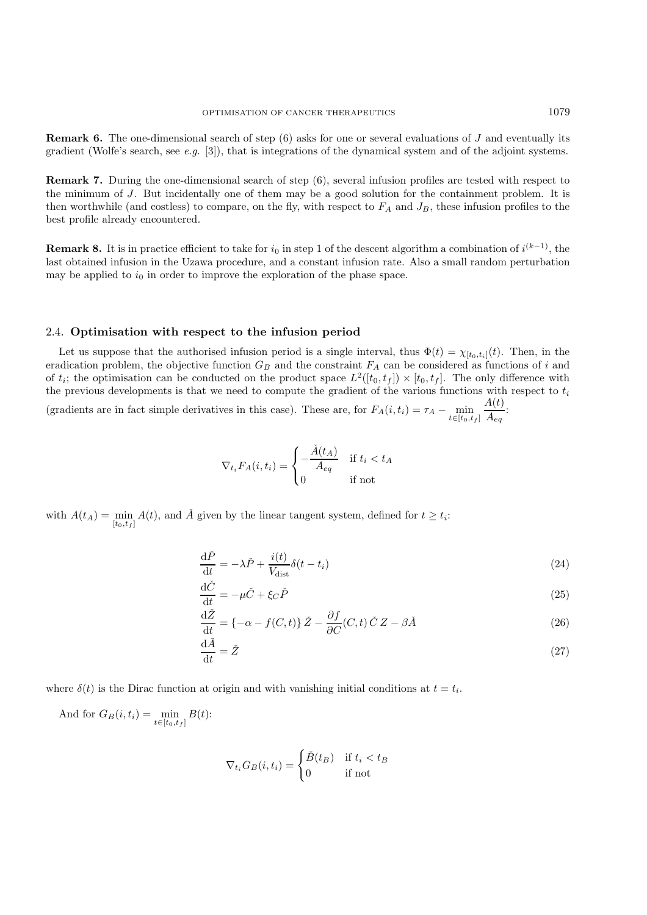**Remark 6.** The one-dimensional search of step (6) asks for one or several evaluations of J and eventually its gradient (Wolfe's search, see *e.g.* [3]), that is integrations of the dynamical system and of the adjoint systems.

**Remark 7.** During the one-dimensional search of step (6), several infusion profiles are tested with respect to the minimum of J. But incidentally one of them may be a good solution for the containment problem. It is then worthwhile (and costless) to compare, on the fly, with respect to  $F_A$  and  $J_B$ , these infusion profiles to the best profile already encountered.

**Remark 8.** It is in practice efficient to take for  $i_0$  in step 1 of the descent algorithm a combination of  $i^{(k-1)}$ , the last obtained infusion in the Uzawa procedure, and a constant infusion rate. Also a small random perturbation may be applied to  $i_0$  in order to improve the exploration of the phase space.

#### 2.4. **Optimisation with respect to the infusion period**

Let us suppose that the authorised infusion period is a single interval, thus  $\Phi(t) = \chi_{[t_0,t_i]}(t)$ . Then, in the eradication problem, the objective function  $G_B$  and the constraint  $F_A$  can be considered as functions of i and of  $t_i$ ; the optimisation can be conducted on the product space  $L^2([t_0, t_f]) \times [t_0, t_f]$ . The only difference with the previous developments is that we need to compute the gradient of the various functions with respect to  $t_i$  $A(t)$ 

(gradients are in fact simple derivatives in this case). These are, for  $F_A(i, t_i) = \tau_A - \min_{t \in [t_0, t_f]}$  $\frac{A(e)}{A_{eq}}$ :

$$
\nabla_{t_i} F_A(i, t_i) = \begin{cases} -\frac{\check{A}(t_A)}{A_{eq}} & \text{if } t_i < t_A \\ 0 & \text{if not} \end{cases}
$$

with  $A(t_A) = \min_{[t_0,t_f]} A(t)$ , and  $\check{A}$  given by the linear tangent system, defined for  $t \geq t_i$ :

$$
\frac{\mathrm{d}\check{P}}{\mathrm{d}t} = -\lambda \check{P} + \frac{i(t)}{V_{\text{dist}}}\delta(t - t_i)
$$
\n(24)

$$
\frac{\mathrm{d}\check{C}}{\mathrm{d}t} = -\mu \check{C} + \xi_C \check{P}
$$
\n(25)

$$
\frac{\mathrm{d}\check{Z}}{\mathrm{d}t} = \{-\alpha - f(C, t)\}\,\check{Z} - \frac{\partial f}{\partial C}(C, t)\,\check{C}\,Z - \beta\check{A}
$$
\n(26)

$$
\frac{\mathrm{d}\check{A}}{\mathrm{d}t} = \check{Z} \tag{27}
$$

where  $\delta(t)$  is the Dirac function at origin and with vanishing initial conditions at  $t = t_i$ .

And for  $G_B(i, t_i) = \min_{t \in [t_0, t_f]} B(t)$ :

$$
\nabla_{t_i} G_B(i, t_i) = \begin{cases} \check{B}(t_B) & \text{if } t_i < t_B \\ 0 & \text{if not} \end{cases}
$$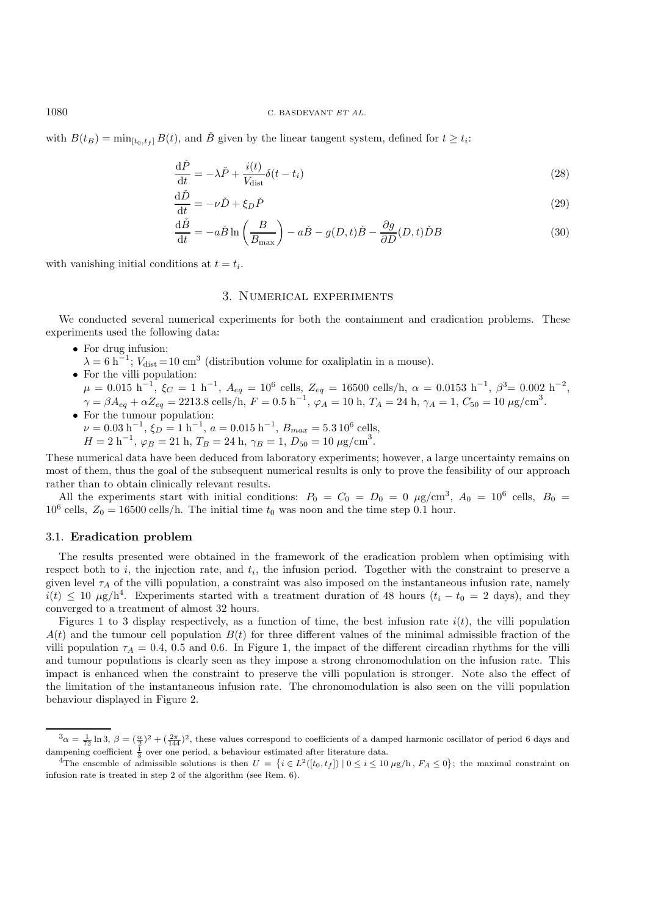with  $B(t_B) = \min_{[t_0,t_f]} B(t)$ , and  $\check{B}$  given by the linear tangent system, defined for  $t \geq t_i$ :

$$
\frac{\mathrm{d}\check{P}}{\mathrm{d}t} = -\lambda \check{P} + \frac{i(t)}{V_{\mathrm{dist}}}\delta(t - t_i)
$$
\n(28)

$$
\frac{\mathrm{d}\check{D}}{\mathrm{d}t} = -\nu \check{D} + \xi_D \check{P}
$$
\n(29)

$$
\frac{\mathrm{d}\check{B}}{\mathrm{d}t} = -a\check{B}\ln\left(\frac{B}{B_{\text{max}}}\right) - a\check{B} - g(D,t)\check{B} - \frac{\partial g}{\partial D}(D,t)\check{D}B\tag{30}
$$

with vanishing initial conditions at  $t = t_i$ .

#### 3. Numerical experiments

We conducted several numerical experiments for both the containment and eradication problems. These experiments used the following data:

- For drug infusion:
- $\lambda = 6 h^{-1}$ ;  $V_{\text{dist}} = 10 \text{ cm}^3$  (distribution volume for oxaliplatin in a mouse).
- For the villi population:

 $\mu = 0.015 \text{ h}^{-1}$ ,  $\xi_C = 1 \text{ h}^{-1}$ ,  $A_{eq} = 10^6 \text{ cells}$ ,  $Z_{eq} = 16500 \text{ cells/h}$ ,  $\alpha = 0.0153 \text{ h}^{-1}$ ,  $\beta^3 = 0.002 \text{ h}^{-2}$ ,  $\gamma = \beta A_{eq} + \alpha Z_{eq} = 2213.8 \text{ cells/h}, F = 0.5 \text{ h}^{-1}, \varphi_A = 10 \text{ h}, T_A = 24 \text{ h}, \gamma_A = 1, C_{50} = 10 \text{ }\mu\text{g/cm}^3.$ • For the tumour population:

- $\nu = 0.03 \text{ h}^{-1}$ ,  $\xi_D = 1 \text{ h}^{-1}$ ,  $a = 0.015 \text{ h}^{-1}$ ,  $B_{max} = 5.3 10^6 \text{ cells}$ ,
- $H = 2 h^{-1}, \varphi_B = 21 h, T_B = 24 h, \gamma_B = 1, D_{50} = 10 \mu\text{g/cm}^3.$

These numerical data have been deduced from laboratory experiments; however, a large uncertainty remains on most of them, thus the goal of the subsequent numerical results is only to prove the feasibility of our approach rather than to obtain clinically relevant results.

All the experiments start with initial conditions:  $P_0 = C_0 = D_0 = 0 \mu g/cm^3$ ,  $A_0 = 10^6$  cells,  $B_0 =$  $10^6$  cells,  $Z_0 = 16500$  cells/h. The initial time  $t_0$  was noon and the time step 0.1 hour.

### 3.1. **Eradication problem**

The results presented were obtained in the framework of the eradication problem when optimising with respect both to  $i$ , the injection rate, and  $t_i$ , the infusion period. Together with the constraint to preserve a given level  $\tau_A$  of the villi population, a constraint was also imposed on the instantaneous infusion rate, namely  $i(t) \leq 10 \mu g/h^4$ . Experiments started with a treatment duration of 48 hours  $(t_i - t_0 = 2$  days), and they converged to a treatment of almost 32 hours.

Figures 1 to 3 display respectively, as a function of time, the best infusion rate  $i(t)$ , the villi population  $A(t)$  and the tumour cell population  $B(t)$  for three different values of the minimal admissible fraction of the villi population  $\tau_A = 0.4, 0.5$  and 0.6. In Figure 1, the impact of the different circadian rhythms for the villi and tumour populations is clearly seen as they impose a strong chronomodulation on the infusion rate. This impact is enhanced when the constraint to preserve the villi population is stronger. Note also the effect of the limitation of the instantaneous infusion rate. The chronomodulation is also seen on the villi population behaviour displayed in Figure 2.

 ${}^{3}\alpha = \frac{1}{72} \ln 3$ ,  $\beta = (\frac{\alpha}{2})^2 + (\frac{2\pi}{144})^2$ , these values correspond to coefficients of a damped harmonic oscillator of period 6 days and dampening coefficient  $\frac{1}{3}$  over one period, a behaviour estimated after literature data.

<sup>&</sup>lt;sup>4</sup>The ensemble of admissible solutions is then  $U = \{i \in L^2([t_0, t_f]) \mid 0 \le i \le 10 \text{ }\mu\text{g/h}, F_A \le 0\}$ ; the maximal constraint on infusion rate is treated in step 2 of the algorithm (see Rem. 6).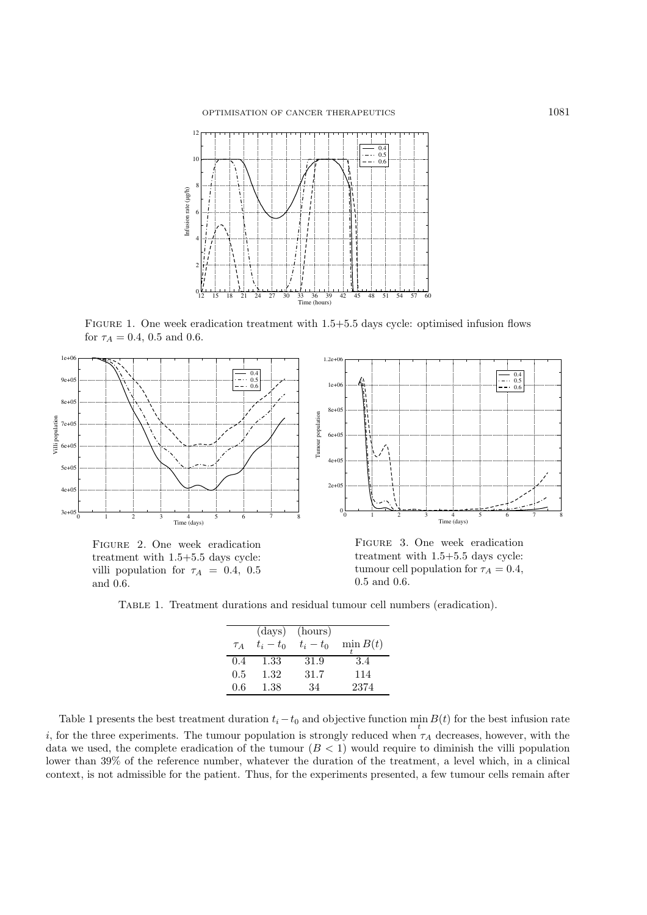

FIGURE 1. One week eradication treatment with  $1.5+5.5$  days cycle: optimised infusion flows for  $\tau_A = 0.4, 0.5$  and 0.6.



Figure 2. One week eradication treatment with 1.5+5.5 days cycle: villi population for  $\tau_A = 0.4, 0.5$ and 0.6.

Figure 3. One week eradication treatment with 1.5+5.5 days cycle: tumour cell population for  $\tau_A = 0.4$ , 0.5 and 0.6.

Table 1. Treatment durations and residual tumour cell numbers (eradication).

|       | $\rm (days)$ | (hours)   |             |
|-------|--------------|-----------|-------------|
| $T_A$ | $t_i-t_0$    | $t_i-t_0$ | $\min B(t)$ |
| 0.4   | 1.33         | 31.9      | 3.4         |
| 0.5   | 1.32         | 31.7      | 114         |
| 0.6   | 1.38         | 34        | 2374        |

Table 1 presents the best treatment duration  $t_i - t_0$  and objective function  $\min_t B(t)$  for the best infusion rate i, for the three experiments. The tumour population is strongly reduced when  $\tau_A$  decreases, however, with the data we used, the complete eradication of the tumour  $(B < 1)$  would require to diminish the villi population lower than 39% of the reference number, whatever the duration of the treatment, a level which, in a clinical context, is not admissible for the patient. Thus, for the experiments presented, a few tumour cells remain after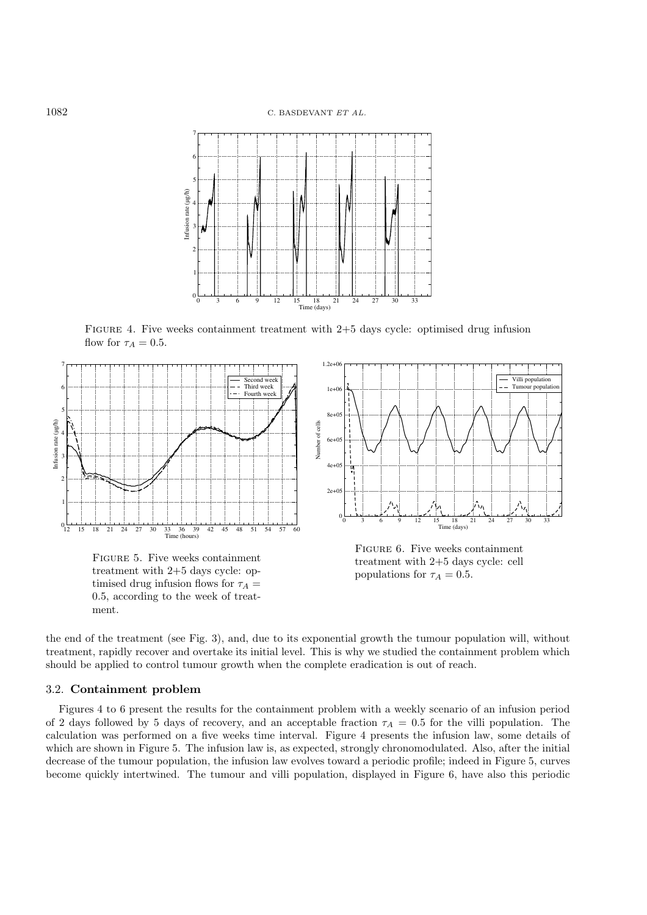

Figure 4. Five weeks containment treatment with 2+5 days cycle: optimised drug infusion flow for  $\tau_A = 0.5$ .



Figure 5. Five weeks containment treatment with 2+5 days cycle: optimised drug infusion flows for  $\tau_A$  = 0.5, according to the week of treatment.



Figure 6. Five weeks containment treatment with 2+5 days cycle: cell populations for  $\tau_A = 0.5$ .

the end of the treatment (see Fig. 3), and, due to its exponential growth the tumour population will, without treatment, rapidly recover and overtake its initial level. This is why we studied the containment problem which should be applied to control tumour growth when the complete eradication is out of reach.

#### 3.2. **Containment problem**

Figures 4 to 6 present the results for the containment problem with a weekly scenario of an infusion period of 2 days followed by 5 days of recovery, and an acceptable fraction  $\tau_A = 0.5$  for the villi population. The calculation was performed on a five weeks time interval. Figure 4 presents the infusion law, some details of which are shown in Figure 5. The infusion law is, as expected, strongly chronomodulated. Also, after the initial decrease of the tumour population, the infusion law evolves toward a periodic profile; indeed in Figure 5, curves become quickly intertwined. The tumour and villi population, displayed in Figure 6, have also this periodic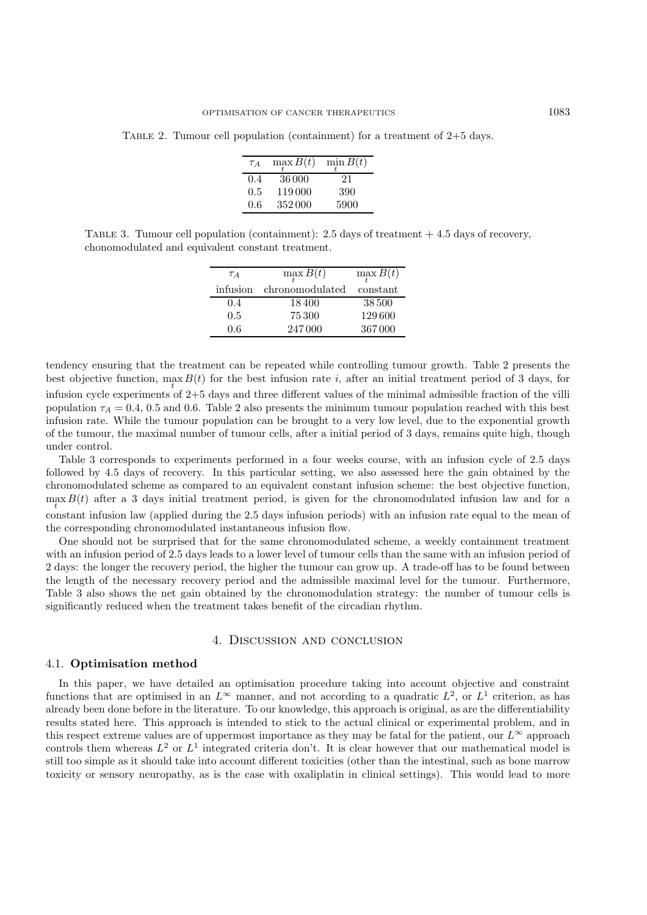TABLE 2. Tumour cell population (containment) for a treatment of  $2+5$  days.

| $T_A$   | $\max B(t)$ | $\min B(t)$ |
|---------|-------------|-------------|
| 0.4     | 36 000      | 21          |
| $0.5\,$ | 119000      | 390         |
| 0.6     | 352000      | 5900        |

TABLE 3. Tumour cell population (containment): 2.5 days of treatment  $+4.5$  days of recovery, chonomodulated and equivalent constant treatment.

| $\tau_A$ | $\max B(t)$     | $\max_t B(t)$ |
|----------|-----------------|---------------|
| infusion | chronomodulated | constant      |
| 0.4      | 18400           | 38 500        |
| 0.5      | 75300           | 129600        |
| በ 6      | 247000          | 367000        |

tendency ensuring that the treatment can be repeated while controlling tumour growth. Table 2 presents the best objective function,  $\max B(t)$  for the best infusion rate i, after an initial treatment period of 3 days, for infusion cycle experiments of 2+5 days and three different values of the minimal admissible fraction of the villi population  $\tau_A = 0.4, 0.5$  and 0.6. Table 2 also presents the minimum tumour population reached with this best infusion rate. While the tumour population can be brought to a very low level, due to the exponential growth of the tumour, the maximal number of tumour cells, after a initial period of 3 days, remains quite high, though under control.

Table 3 corresponds to experiments performed in a four weeks course, with an infusion cycle of 2.5 days followed by 4.5 days of recovery. In this particular setting, we also assessed here the gain obtained by the chronomodulated scheme as compared to an equivalent constant infusion scheme: the best objective function,  $\max B(t)$  after a 3 days initial treatment period, is given for the chronomodulated infusion law and for a constant infusion law (applied during the 2.5 days infusion periods) with an infusion rate equal to the mean of the corresponding chronomodulated instantaneous infusion flow.

One should not be surprised that for the same chronomodulated scheme, a weekly containment treatment with an infusion period of 2.5 days leads to a lower level of tumour cells than the same with an infusion period of 2 days: the longer the recovery period, the higher the tumour can grow up. A trade-off has to be found between the length of the necessary recovery period and the admissible maximal level for the tumour. Furthermore, Table 3 also shows the net gain obtained by the chronomodulation strategy: the number of tumour cells is significantly reduced when the treatment takes benefit of the circadian rhythm.

## 4. Discussion and conclusion

#### 4.1. **Optimisation method**

In this paper, we have detailed an optimisation procedure taking into account objective and constraint functions that are optimised in an  $L^{\infty}$  manner, and not according to a quadratic  $L^2$ , or  $L^1$  criterion, as has already been done before in the literature. To our knowledge, this approach is original, as are the differentiability results stated here. This approach is intended to stick to the actual clinical or experimental problem, and in this respect extreme values are of uppermost importance as they may be fatal for the patient, our  $L^{\infty}$  approach controls them whereas  $L^2$  or  $L^1$  integrated criteria don't. It is clear however that our mathematical model is still too simple as it should take into account different toxicities (other than the intestinal, such as bone marrow toxicity or sensory neuropathy, as is the case with oxaliplatin in clinical settings). This would lead to more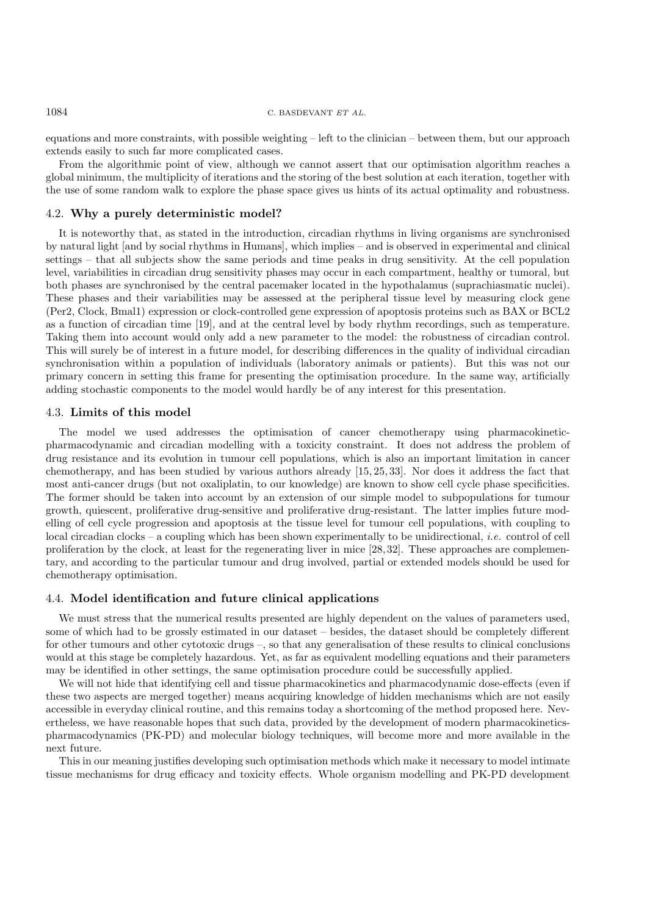equations and more constraints, with possible weighting – left to the clinician – between them, but our approach extends easily to such far more complicated cases.

From the algorithmic point of view, although we cannot assert that our optimisation algorithm reaches a global minimum, the multiplicity of iterations and the storing of the best solution at each iteration, together with the use of some random walk to explore the phase space gives us hints of its actual optimality and robustness.

# 4.2. **Why a purely deterministic model?**

It is noteworthy that, as stated in the introduction, circadian rhythms in living organisms are synchronised by natural light [and by social rhythms in Humans], which implies – and is observed in experimental and clinical settings – that all subjects show the same periods and time peaks in drug sensitivity. At the cell population level, variabilities in circadian drug sensitivity phases may occur in each compartment, healthy or tumoral, but both phases are synchronised by the central pacemaker located in the hypothalamus (suprachiasmatic nuclei). These phases and their variabilities may be assessed at the peripheral tissue level by measuring clock gene (Per2, Clock, Bmal1) expression or clock-controlled gene expression of apoptosis proteins such as BAX or BCL2 as a function of circadian time [19], and at the central level by body rhythm recordings, such as temperature. Taking them into account would only add a new parameter to the model: the robustness of circadian control. This will surely be of interest in a future model, for describing differences in the quality of individual circadian synchronisation within a population of individuals (laboratory animals or patients). But this was not our primary concern in setting this frame for presenting the optimisation procedure. In the same way, artificially adding stochastic components to the model would hardly be of any interest for this presentation.

#### 4.3. **Limits of this model**

The model we used addresses the optimisation of cancer chemotherapy using pharmacokineticpharmacodynamic and circadian modelling with a toxicity constraint. It does not address the problem of drug resistance and its evolution in tumour cell populations, which is also an important limitation in cancer chemotherapy, and has been studied by various authors already [15, 25, 33]. Nor does it address the fact that most anti-cancer drugs (but not oxaliplatin, to our knowledge) are known to show cell cycle phase specificities. The former should be taken into account by an extension of our simple model to subpopulations for tumour growth, quiescent, proliferative drug-sensitive and proliferative drug-resistant. The latter implies future modelling of cell cycle progression and apoptosis at the tissue level for tumour cell populations, with coupling to local circadian clocks – a coupling which has been shown experimentally to be unidirectional, *i.e.* control of cell proliferation by the clock, at least for the regenerating liver in mice [28, 32]. These approaches are complementary, and according to the particular tumour and drug involved, partial or extended models should be used for chemotherapy optimisation.

# 4.4. **Model identification and future clinical applications**

We must stress that the numerical results presented are highly dependent on the values of parameters used, some of which had to be grossly estimated in our dataset – besides, the dataset should be completely different for other tumours and other cytotoxic drugs –, so that any generalisation of these results to clinical conclusions would at this stage be completely hazardous. Yet, as far as equivalent modelling equations and their parameters may be identified in other settings, the same optimisation procedure could be successfully applied.

We will not hide that identifying cell and tissue pharmacokinetics and pharmacodynamic dose-effects (even if these two aspects are merged together) means acquiring knowledge of hidden mechanisms which are not easily accessible in everyday clinical routine, and this remains today a shortcoming of the method proposed here. Nevertheless, we have reasonable hopes that such data, provided by the development of modern pharmacokineticspharmacodynamics (PK-PD) and molecular biology techniques, will become more and more available in the next future.

This in our meaning justifies developing such optimisation methods which make it necessary to model intimate tissue mechanisms for drug efficacy and toxicity effects. Whole organism modelling and PK-PD development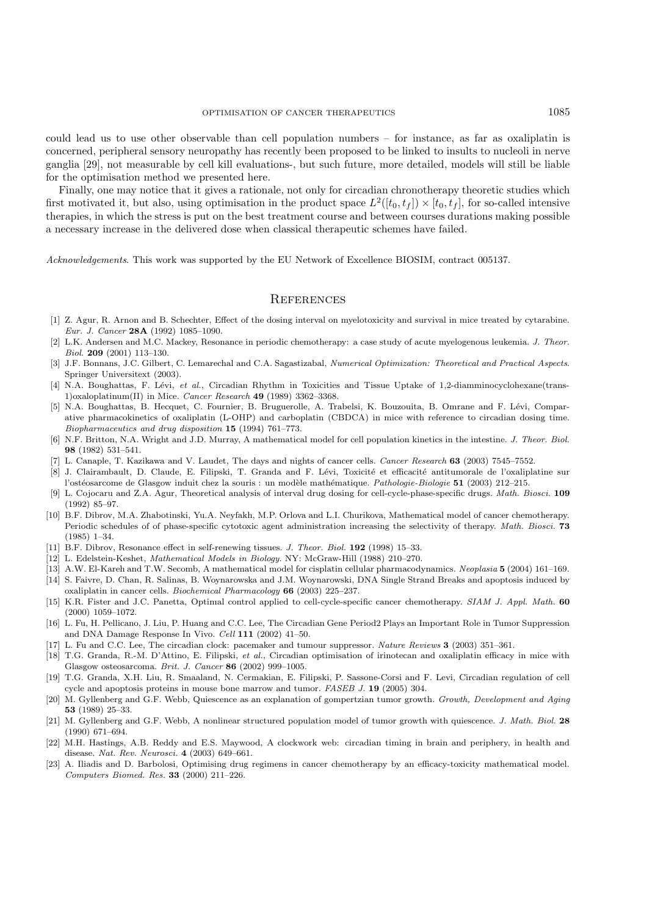could lead us to use other observable than cell population numbers – for instance, as far as oxaliplatin is concerned, peripheral sensory neuropathy has recently been proposed to be linked to insults to nucleoli in nerve ganglia [29], not measurable by cell kill evaluations-, but such future, more detailed, models will still be liable for the optimisation method we presented here.

Finally, one may notice that it gives a rationale, not only for circadian chronotherapy theoretic studies which first motivated it, but also, using optimisation in the product space  $L^2([t_0, t_f]) \times [t_0, t_f]$ , for so-called intensive therapies, in which the stress is put on the best treatment course and between courses durations making possible a necessary increase in the delivered dose when classical therapeutic schemes have failed.

*Acknowledgements*. This work was supported by the EU Network of Excellence BIOSIM, contract 005137.

#### **REFERENCES**

- [1] Z. Agur, R. Arnon and B. Schechter, Effect of the dosing interval on myelotoxicity and survival in mice treated by cytarabine. *Eur. J. Cancer* **28A** (1992) 1085–1090.
- [2] L.K. Andersen and M.C. Mackey, Resonance in periodic chemotherapy: a case study of acute myelogenous leukemia. *J. Theor. Biol.* **209** (2001) 113–130.
- [3] J.F. Bonnans, J.C. Gilbert, C. Lemarechal and C.A. Sagastizabal, *Numerical Optimization: Theoretical and Practical Aspects*. Springer Universitext (2003).
- [4] N.A. Boughattas, F. Lévi, *et al.*, Circadian Rhythm in Toxicities and Tissue Uptake of 1,2-diamminocyclohexane(trans-1)oxaloplatinum(II) in Mice. *Cancer Research* **49** (1989) 3362–3368.
- [5] N.A. Boughattas, B. Hecquet, C. Fournier, B. Bruguerolle, A. Trabelsi, K. Bouzouita, B. Omrane and F. Lévi, Comparative pharmacokinetics of oxaliplatin (L-OHP) and carboplatin (CBDCA) in mice with reference to circadian dosing time. *Biopharmaceutics and drug disposition* **15** (1994) 761–773.
- [6] N.F. Britton, N.A. Wright and J.D. Murray, A mathematical model for cell population kinetics in the intestine. *J. Theor. Biol.* **98** (1982) 531–541.
- [7] L. Canaple, T. Kazikawa and V. Laudet, The days and nights of cancer cells. *Cancer Research* **63** (2003) 7545–7552.
- [8] J. Clairambault, D. Claude, E. Filipski, T. Granda and F. Lévi, Toxicité et efficacité antitumorale de l'oxaliplatine sur l'ostéosarcome de Glasgow induit chez la souris : un modèle mathématique. *Pathologie-Biologie* 51 (2003) 212–215.
- [9] L. Cojocaru and Z.A. Agur, Theoretical analysis of interval drug dosing for cell-cycle-phase-specific drugs. *Math. Biosci.* **109** (1992) 85–97.
- [10] B.F. Dibrov, M.A. Zhabotinski, Yu.A. Neyfakh, M.P. Orlova and L.I. Churikova, Mathematical model of cancer chemotherapy. Periodic schedules of of phase-specific cytotoxic agent administration increasing the selectivity of therapy. *Math. Biosci.* **73** (1985) 1–34.
- [11] B.F. Dibrov, Resonance effect in self-renewing tissues. *J. Theor. Biol.* **192** (1998) 15–33.
- [12] L. Edelstein-Keshet, *Mathematical Models in Biology*. NY: McGraw-Hill (1988) 210–270.
- [13] A.W. El-Kareh and T.W. Secomb, A mathematical model for cisplatin cellular pharmacodynamics. *Neoplasia* **5** (2004) 161–169.
- [14] S. Faivre, D. Chan, R. Salinas, B. Woynarowska and J.M. Woynarowski, DNA Single Strand Breaks and apoptosis induced by oxaliplatin in cancer cells. *Biochemical Pharmacology* **66** (2003) 225–237.
- [15] K.R. Fister and J.C. Panetta, Optimal control applied to cell-cycle-specific cancer chemotherapy. *SIAM J. Appl. Math.* **60** (2000) 1059–1072.
- [16] L. Fu, H. Pellicano, J. Liu, P. Huang and C.C. Lee, The Circadian Gene Period2 Plays an Important Role in Tumor Suppression and DNA Damage Response In Vivo. *Cell* **111** (2002) 41–50.
- [17] L. Fu and C.C. Lee, The circadian clock: pacemaker and tumour suppressor. *Nature Reviews* **3** (2003) 351–361.
- [18] T.G. Granda, R.-M. D'Attino, E. Filipski, *et al.*, Circadian optimisation of irinotecan and oxaliplatin efficacy in mice with Glasgow osteosarcoma. *Brit. J. Cancer* **86** (2002) 999–1005.
- [19] T.G. Granda, X.H. Liu, R. Smaaland, N. Cermakian, E. Filipski, P. Sassone-Corsi and F. Levi, Circadian regulation of cell cycle and apoptosis proteins in mouse bone marrow and tumor. *FASEB J.* **19** (2005) 304.
- [20] M. Gyllenberg and G.F. Webb, Quiescence as an explanation of gompertzian tumor growth. *Growth, Development and Aging* **53** (1989) 25–33.
- [21] M. Gyllenberg and G.F. Webb, A nonlinear structured population model of tumor growth with quiescence. *J. Math. Biol.* **28** (1990) 671–694.
- [22] M.H. Hastings, A.B. Reddy and E.S. Maywood, A clockwork web: circadian timing in brain and periphery, in health and disease. *Nat. Rev. Neurosci.* **4** (2003) 649–661.
- [23] A. Iliadis and D. Barbolosi, Optimising drug regimens in cancer chemotherapy by an efficacy-toxicity mathematical model. *Computers Biomed. Res.* **33** (2000) 211–226.